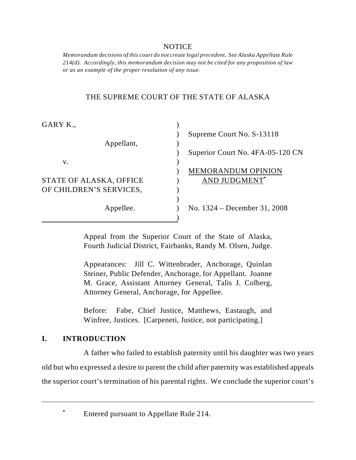### NOTICE

*Memorandum decisions of this court do not create legal precedent. See Alaska Appellate Rule 214(d). Accordingly, this memorandum decision may not be cited for any proposition of law or as an example of the proper resolution of any issue.*

### THE SUPREME COURT OF THE STATE OF ALASKA

| GARY K.,                |                                  |
|-------------------------|----------------------------------|
|                         | Supreme Court No. S-13118        |
| Appellant,              |                                  |
|                         | Superior Court No. 4FA-05-120 CN |
| V.                      |                                  |
|                         | <b>MEMORANDUM OPINION</b>        |
| STATE OF ALASKA, OFFICE | <b>AND JUDGMENT*</b>             |
| OF CHILDREN'S SERVICES, |                                  |
|                         |                                  |
| Appellee.               | No. 1324 – December 31, 2008     |
|                         |                                  |

Appeal from the Superior Court of the State of Alaska, Fourth Judicial District, Fairbanks, Randy M. Olsen, Judge.

Appearances: Jill C. Wittenbrader, Anchorage, Quinlan Steiner, Public Defender, Anchorage, for Appellant. Joanne M. Grace, Assistant Attorney General, Talis J. Colberg, Attorney General, Anchorage, for Appellee.

Before: Fabe, Chief Justice, Matthews, Eastaugh, and Winfree, Justices. [Carpeneti, Justice, not participating.]

### **I. INTRODUCTION**

A father who failed to establish paternity until his daughter was two years old but who expressed a desire to parent the child after paternity was established appeals the superior court's termination of his parental rights. We conclude the superior court's

Entered pursuant to Appellate Rule 214. **\***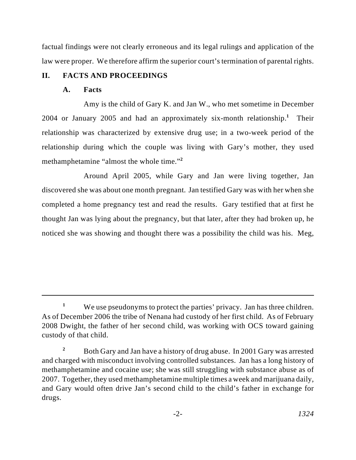factual findings were not clearly erroneous and its legal rulings and application of the law were proper. We therefore affirm the superior court's termination of parental rights.

## **II. FACTS AND PROCEEDINGS**

### **A. Facts**

Amy is the child of Gary K. and Jan W., who met sometime in December 2004 or January 2005 and had an approximately six-month relationship.<sup>1</sup> Their relationship was characterized by extensive drug use; in a two-week period of the relationship during which the couple was living with Gary's mother, they used methamphetamine "almost the whole time."**<sup>2</sup>**

Around April 2005, while Gary and Jan were living together, Jan discovered she was about one month pregnant. Jan testified Gary was with her when she completed a home pregnancy test and read the results. Gary testified that at first he thought Jan was lying about the pregnancy, but that later, after they had broken up, he noticed she was showing and thought there was a possibility the child was his. Meg,

We use pseudonyms to protect the parties' privacy. Jan has three children. **<sup>1</sup>** As of December 2006 the tribe of Nenana had custody of her first child. As of February 2008 Dwight, the father of her second child, was working with OCS toward gaining custody of that child.

Both Gary and Jan have a history of drug abuse. In 2001 Gary was arrested **<sup>2</sup>** and charged with misconduct involving controlled substances. Jan has a long history of methamphetamine and cocaine use; she was still struggling with substance abuse as of 2007. Together, they used methamphetamine multiple times a week and marijuana daily, and Gary would often drive Jan's second child to the child's father in exchange for drugs.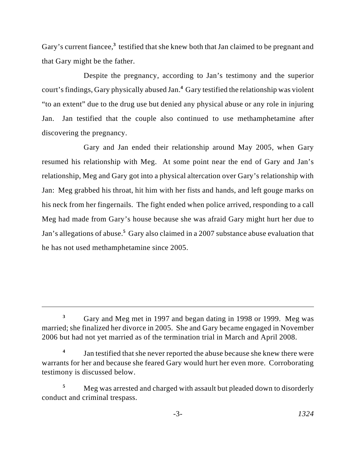Gary's current fiancee,<sup>3</sup> testified that she knew both that Jan claimed to be pregnant and that Gary might be the father.

Despite the pregnancy, according to Jan's testimony and the superior court's findings, Gary physically abused Jan.<sup>4</sup> Gary testified the relationship was violent "to an extent" due to the drug use but denied any physical abuse or any role in injuring Jan. Jan testified that the couple also continued to use methamphetamine after discovering the pregnancy.

Gary and Jan ended their relationship around May 2005, when Gary resumed his relationship with Meg. At some point near the end of Gary and Jan's relationship, Meg and Gary got into a physical altercation over Gary's relationship with Jan: Meg grabbed his throat, hit him with her fists and hands, and left gouge marks on his neck from her fingernails. The fight ended when police arrived, responding to a call Meg had made from Gary's house because she was afraid Gary might hurt her due to Jan's allegations of abuse.<sup>5</sup> Gary also claimed in a 2007 substance abuse evaluation that he has not used methamphetamine since 2005.

Gary and Meg met in 1997 and began dating in 1998 or 1999. Meg was **<sup>3</sup>** married; she finalized her divorce in 2005. She and Gary became engaged in November 2006 but had not yet married as of the termination trial in March and April 2008.

Jan testified that she never reported the abuse because she knew there were **4** warrants for her and because she feared Gary would hurt her even more. Corroborating testimony is discussed below.

Meg was arrested and charged with assault but pleaded down to disorderly **<sup>5</sup>** conduct and criminal trespass.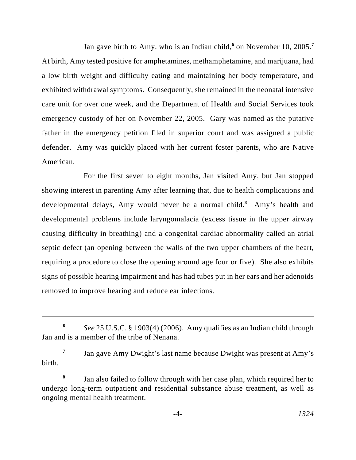Jan gave birth to Amy, who is an Indian child,<sup>6</sup> on November 10, 2005.<sup>7</sup> At birth, Amy tested positive for amphetamines, methamphetamine, and marijuana, had a low birth weight and difficulty eating and maintaining her body temperature, and exhibited withdrawal symptoms. Consequently, she remained in the neonatal intensive care unit for over one week, and the Department of Health and Social Services took emergency custody of her on November 22, 2005. Gary was named as the putative father in the emergency petition filed in superior court and was assigned a public defender. Amy was quickly placed with her current foster parents, who are Native American.

For the first seven to eight months, Jan visited Amy, but Jan stopped showing interest in parenting Amy after learning that, due to health complications and developmental delays, Amy would never be a normal child.<sup>8</sup> Amy's health and developmental problems include laryngomalacia (excess tissue in the upper airway causing difficulty in breathing) and a congenital cardiac abnormality called an atrial septic defect (an opening between the walls of the two upper chambers of the heart, requiring a procedure to close the opening around age four or five). She also exhibits signs of possible hearing impairment and has had tubes put in her ears and her adenoids removed to improve hearing and reduce ear infections.

*See* 25 U.S.C. § 1903(4) (2006). Amy qualifies as an Indian child through **<sup>6</sup>** Jan and is a member of the tribe of Nenana.

Jan gave Amy Dwight's last name because Dwight was present at Amy's **<sup>7</sup>** birth.

Jan also failed to follow through with her case plan, which required her to **<sup>8</sup>** undergo long-term outpatient and residential substance abuse treatment, as well as ongoing mental health treatment.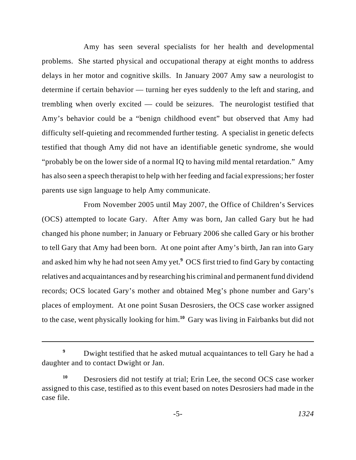Amy has seen several specialists for her health and developmental problems. She started physical and occupational therapy at eight months to address delays in her motor and cognitive skills. In January 2007 Amy saw a neurologist to determine if certain behavior — turning her eyes suddenly to the left and staring, and trembling when overly excited — could be seizures. The neurologist testified that Amy's behavior could be a "benign childhood event" but observed that Amy had difficulty self-quieting and recommended further testing. A specialist in genetic defects testified that though Amy did not have an identifiable genetic syndrome, she would "probably be on the lower side of a normal IQ to having mild mental retardation." Amy has also seen a speech therapist to help with her feeding and facial expressions; her foster parents use sign language to help Amy communicate.

From November 2005 until May 2007, the Office of Children's Services (OCS) attempted to locate Gary. After Amy was born, Jan called Gary but he had changed his phone number; in January or February 2006 she called Gary or his brother to tell Gary that Amy had been born. At one point after Amy's birth, Jan ran into Gary and asked him why he had not seen Amy yet.<sup>9</sup> OCS first tried to find Gary by contacting relatives and acquaintances and by researching his criminal and permanent fund dividend records; OCS located Gary's mother and obtained Meg's phone number and Gary's places of employment. At one point Susan Desrosiers, the OCS case worker assigned to the case, went physically looking for him.<sup>10</sup> Gary was living in Fairbanks but did not

Dwight testified that he asked mutual acquaintances to tell Gary he had a **<sup>9</sup>** daughter and to contact Dwight or Jan.

Desrosiers did not testify at trial; Erin Lee, the second OCS case worker **<sup>10</sup>** assigned to this case, testified as to this event based on notes Desrosiers had made in the case file.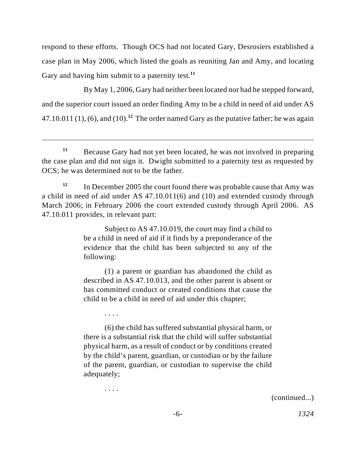respond to these efforts. Though OCS had not located Gary, Desrosiers established a case plan in May 2006, which listed the goals as reuniting Jan and Amy, and locating Gary and having him submit to a paternity test.**<sup>11</sup>**

By May 1, 2006, Gary had neither been located nor had he stepped forward, and the superior court issued an order finding Amy to be a child in need of aid under AS 47.10.011 (1), (6), and (10).<sup>12</sup> The order named Gary as the putative father; he was again

Subject to AS 47.10.019, the court may find a child to be a child in need of aid if it finds by a preponderance of the evidence that the child has been subjected to any of the following:

(1) a parent or guardian has abandoned the child as described in AS 47.10.013, and the other parent is absent or has committed conduct or created conditions that cause the child to be a child in need of aid under this chapter;

. . . .

. . . .

(6) the child has suffered substantial physical harm, or there is a substantial risk that the child will suffer substantial physical harm, as a result of conduct or by conditions created by the child's parent, guardian, or custodian or by the failure of the parent, guardian, or custodian to supervise the child adequately;

(continued...)

Because Gary had not yet been located, he was not involved in preparing **<sup>11</sup>** the case plan and did not sign it. Dwight submitted to a paternity test as requested by OCS; he was determined not to be the father.

In December 2005 the court found there was probable cause that Amy was **<sup>12</sup>** a child in need of aid under AS 47.10.011(6) and (10) and extended custody through March 2006; in February 2006 the court extended custody through April 2006. AS 47.10.011 provides, in relevant part: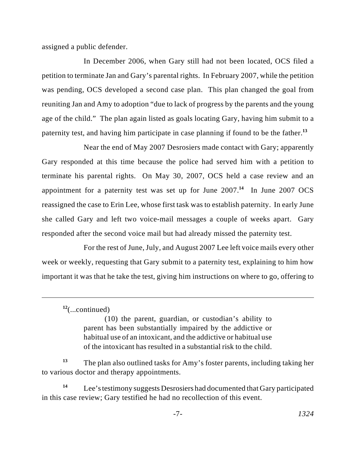assigned a public defender.

In December 2006, when Gary still had not been located, OCS filed a petition to terminate Jan and Gary's parental rights. In February 2007, while the petition was pending, OCS developed a second case plan. This plan changed the goal from reuniting Jan and Amy to adoption "due to lack of progress by the parents and the young age of the child." The plan again listed as goals locating Gary, having him submit to a paternity test, and having him participate in case planning if found to be the father.**<sup>13</sup>**

Near the end of May 2007 Desrosiers made contact with Gary; apparently Gary responded at this time because the police had served him with a petition to terminate his parental rights. On May 30, 2007, OCS held a case review and an appointment for a paternity test was set up for June  $2007<sup>14</sup>$  In June 2007 OCS reassigned the case to Erin Lee, whose first task was to establish paternity. In early June she called Gary and left two voice-mail messages a couple of weeks apart. Gary responded after the second voice mail but had already missed the paternity test.

For the rest of June, July, and August 2007 Lee left voice mails every other week or weekly, requesting that Gary submit to a paternity test, explaining to him how important it was that he take the test, giving him instructions on where to go, offering to

(10) the parent, guardian, or custodian's ability to parent has been substantially impaired by the addictive or habitual use of an intoxicant, and the addictive or habitual use of the intoxicant has resulted in a substantial risk to the child.

The plan also outlined tasks for Amy's foster parents, including taking her **<sup>13</sup>** to various doctor and therapy appointments.

Lee's testimony suggests Desrosiers had documented that Gary participated **<sup>14</sup>** in this case review; Gary testified he had no recollection of this event.

<sup>(...</sup>continued) **<sup>12</sup>**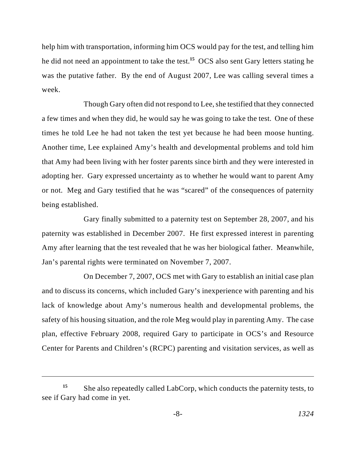help him with transportation, informing him OCS would pay for the test, and telling him he did not need an appointment to take the test.<sup>15</sup> OCS also sent Gary letters stating he was the putative father. By the end of August 2007, Lee was calling several times a week.

Though Gary often did not respond to Lee, she testified that they connected a few times and when they did, he would say he was going to take the test. One of these times he told Lee he had not taken the test yet because he had been moose hunting. Another time, Lee explained Amy's health and developmental problems and told him that Amy had been living with her foster parents since birth and they were interested in adopting her. Gary expressed uncertainty as to whether he would want to parent Amy or not. Meg and Gary testified that he was "scared" of the consequences of paternity being established.

Gary finally submitted to a paternity test on September 28, 2007, and his paternity was established in December 2007. He first expressed interest in parenting Amy after learning that the test revealed that he was her biological father. Meanwhile, Jan's parental rights were terminated on November 7, 2007.

On December 7, 2007, OCS met with Gary to establish an initial case plan and to discuss its concerns, which included Gary's inexperience with parenting and his lack of knowledge about Amy's numerous health and developmental problems, the safety of his housing situation, and the role Meg would play in parenting Amy. The case plan, effective February 2008, required Gary to participate in OCS's and Resource Center for Parents and Children's (RCPC) parenting and visitation services, as well as

She also repeatedly called LabCorp, which conducts the paternity tests, to **<sup>15</sup>** see if Gary had come in yet.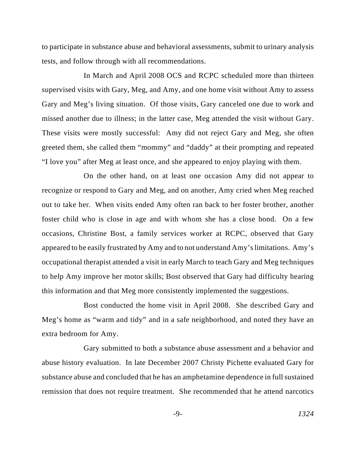to participate in substance abuse and behavioral assessments, submit to urinary analysis tests, and follow through with all recommendations.

In March and April 2008 OCS and RCPC scheduled more than thirteen supervised visits with Gary, Meg, and Amy, and one home visit without Amy to assess Gary and Meg's living situation. Of those visits, Gary canceled one due to work and missed another due to illness; in the latter case, Meg attended the visit without Gary. These visits were mostly successful: Amy did not reject Gary and Meg, she often greeted them, she called them "mommy" and "daddy" at their prompting and repeated "I love you" after Meg at least once, and she appeared to enjoy playing with them.

On the other hand, on at least one occasion Amy did not appear to recognize or respond to Gary and Meg, and on another, Amy cried when Meg reached out to take her. When visits ended Amy often ran back to her foster brother, another foster child who is close in age and with whom she has a close bond. On a few occasions, Christine Bost, a family services worker at RCPC, observed that Gary appeared to be easily frustrated by Amy and to not understand Amy's limitations. Amy's occupational therapist attended a visit in early March to teach Gary and Meg techniques to help Amy improve her motor skills; Bost observed that Gary had difficulty hearing this information and that Meg more consistently implemented the suggestions.

Bost conducted the home visit in April 2008. She described Gary and Meg's home as "warm and tidy" and in a safe neighborhood, and noted they have an extra bedroom for Amy.

Gary submitted to both a substance abuse assessment and a behavior and abuse history evaluation. In late December 2007 Christy Pichette evaluated Gary for substance abuse and concluded that he has an amphetamine dependence in full sustained remission that does not require treatment. She recommended that he attend narcotics

-9- *1324*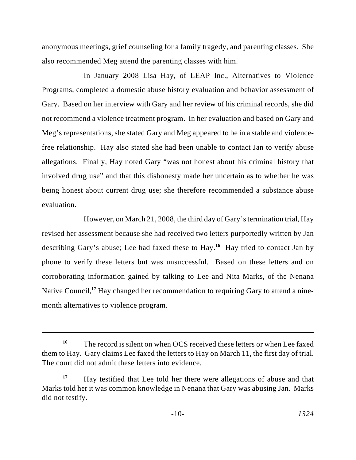anonymous meetings, grief counseling for a family tragedy, and parenting classes. She also recommended Meg attend the parenting classes with him.

In January 2008 Lisa Hay, of LEAP Inc., Alternatives to Violence Programs, completed a domestic abuse history evaluation and behavior assessment of Gary. Based on her interview with Gary and her review of his criminal records, she did not recommend a violence treatment program. In her evaluation and based on Gary and Meg's representations, she stated Gary and Meg appeared to be in a stable and violencefree relationship. Hay also stated she had been unable to contact Jan to verify abuse allegations. Finally, Hay noted Gary "was not honest about his criminal history that involved drug use" and that this dishonesty made her uncertain as to whether he was being honest about current drug use; she therefore recommended a substance abuse evaluation.

However, on March 21, 2008, the third day of Gary's termination trial, Hay revised her assessment because she had received two letters purportedly written by Jan describing Gary's abuse; Lee had faxed these to Hay.<sup>16</sup> Hay tried to contact Jan by phone to verify these letters but was unsuccessful. Based on these letters and on corroborating information gained by talking to Lee and Nita Marks, of the Nenana Native Council,<sup>17</sup> Hay changed her recommendation to requiring Gary to attend a ninemonth alternatives to violence program.

The record is silent on when OCS received these letters or when Lee faxed **<sup>16</sup>** them to Hay. Gary claims Lee faxed the letters to Hay on March 11, the first day of trial. The court did not admit these letters into evidence.

Hay testified that Lee told her there were allegations of abuse and that **<sup>17</sup>** Marks told her it was common knowledge in Nenana that Gary was abusing Jan. Marks did not testify.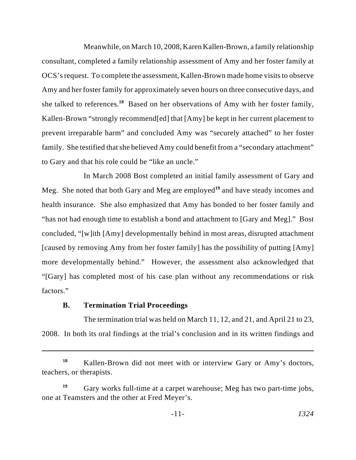Meanwhile, on March 10, 2008, Karen Kallen-Brown, a family relationship consultant, completed a family relationship assessment of Amy and her foster family at OCS's request. To complete the assessment, Kallen-Brown made home visits to observe Amy and her foster family for approximately seven hours on three consecutive days, and she talked to references.<sup>18</sup> Based on her observations of Amy with her foster family, Kallen-Brown "strongly recommend[ed] that [Amy] be kept in her current placement to prevent irreparable harm" and concluded Amy was "securely attached" to her foster family. She testified that she believed Amy could benefit from a "secondary attachment" to Gary and that his role could be "like an uncle."

In March 2008 Bost completed an initial family assessment of Gary and Meg. She noted that both Gary and Meg are employed<sup>19</sup> and have steady incomes and health insurance. She also emphasized that Amy has bonded to her foster family and "has not had enough time to establish a bond and attachment to [Gary and Meg]." Bost concluded, "[w]ith [Amy] developmentally behind in most areas, disrupted attachment [caused by removing Amy from her foster family] has the possibility of putting [Amy] more developmentally behind." However, the assessment also acknowledged that "[Gary] has completed most of his case plan without any recommendations or risk factors."

#### **B. Termination Trial Proceedings**

The termination trial was held on March 11, 12, and 21, and April 21 to 23, 2008. In both its oral findings at the trial's conclusion and in its written findings and

Kallen-Brown did not meet with or interview Gary or Amy's doctors, **<sup>18</sup>** teachers, or therapists.

Gary works full-time at a carpet warehouse; Meg has two part-time jobs, **<sup>19</sup>** one at Teamsters and the other at Fred Meyer's.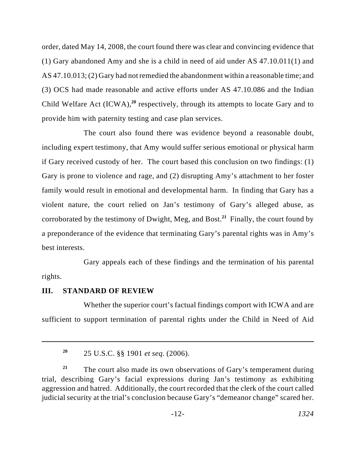order, dated May 14, 2008, the court found there was clear and convincing evidence that (1) Gary abandoned Amy and she is a child in need of aid under AS 47.10.011(1) and AS 47.10.013; (2) Gary had notremedied the abandonment within a reasonable time; and (3) OCS had made reasonable and active efforts under AS 47.10.086 and the Indian Child Welfare Act  $(ICWA)$ ,<sup>20</sup> respectively, through its attempts to locate Gary and to provide him with paternity testing and case plan services.

The court also found there was evidence beyond a reasonable doubt, including expert testimony, that Amy would suffer serious emotional or physical harm if Gary received custody of her. The court based this conclusion on two findings: (1) Gary is prone to violence and rage, and (2) disrupting Amy's attachment to her foster family would result in emotional and developmental harm. In finding that Gary has a violent nature, the court relied on Jan's testimony of Gary's alleged abuse, as corroborated by the testimony of Dwight, Meg, and Bost.<sup>21</sup> Finally, the court found by a preponderance of the evidence that terminating Gary's parental rights was in Amy's best interests.

Gary appeals each of these findings and the termination of his parental rights.

#### **III. STANDARD OF REVIEW**

Whether the superior court's factual findings comport with ICWA and are sufficient to support termination of parental rights under the Child in Need of Aid

<sup>25</sup> U.S.C. §§ 1901 *et seq.* (2006). **<sup>20</sup>**

<sup>&</sup>lt;sup>21</sup> The court also made its own observations of Gary's temperament during trial, describing Gary's facial expressions during Jan's testimony as exhibiting aggression and hatred. Additionally, the court recorded that the clerk of the court called judicial security at the trial's conclusion because Gary's "demeanor change" scared her.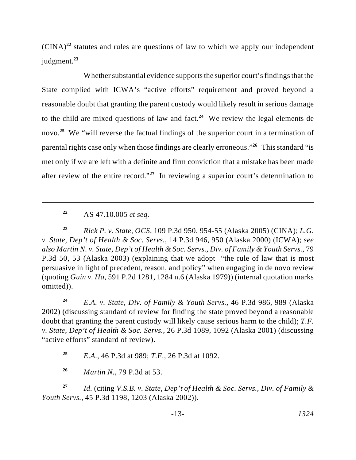$(CINA)^{22}$  statutes and rules are questions of law to which we apply our independent judgment. **23**

Whether substantial evidence supports the superior court's findings that the State complied with ICWA's "active efforts" requirement and proved beyond a reasonable doubt that granting the parent custody would likely result in serious damage to the child are mixed questions of law and fact.<sup>24</sup> We review the legal elements de novo.<sup>25</sup> We "will reverse the factual findings of the superior court in a termination of parental rights case only when those findings are clearly erroneous."<sup>26</sup> This standard "is met only if we are left with a definite and firm conviction that a mistake has been made after review of the entire record."<sup>27</sup> In reviewing a superior court's determination to

AS 47.10.005 *et seq.* **<sup>22</sup>**

*Rick P. v. State, OCS*, 109 P.3d 950, 954-55 (Alaska 2005) (CINA); *L.G.* **<sup>23</sup>** *v. State, Dep't of Health & Soc. Servs.*, 14 P.3d 946, 950 (Alaska 2000) (ICWA); *see also Martin N. v. State, Dep't of Health & Soc. Servs., Div. of Family & Youth Servs.*, 79 P.3d 50, 53 (Alaska 2003) (explaining that we adopt "the rule of law that is most persuasive in light of precedent, reason, and policy" when engaging in de novo review (quoting *Guin v. Ha*, 591 P.2d 1281, 1284 n.6 (Alaska 1979)) (internal quotation marks omitted)).

*E.A. v. State, Div. of Family & Youth Servs.*, 46 P.3d 986, 989 (Alaska **<sup>24</sup>** 2002) (discussing standard of review for finding the state proved beyond a reasonable doubt that granting the parent custody will likely cause serious harm to the child); *T.F. v. State, Dep't of Health & Soc. Servs.*, 26 P.3d 1089, 1092 (Alaska 2001) (discussing "active efforts" standard of review).

*E.A.*, 46 P.3d at 989; *T.F.*, 26 P.3d at 1092. **<sup>25</sup>**

*Martin N.*, 79 P.3d at 53. **26**

*Id.* (citing *V.S.B. v. State, Dep't of Health & Soc. Servs., Div. of Family &* **<sup>27</sup>** *Youth Servs.*, 45 P.3d 1198, 1203 (Alaska 2002)).

-13- *1324*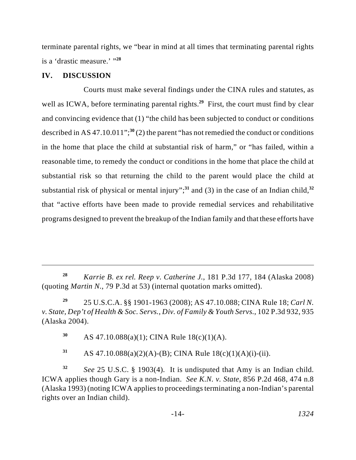terminate parental rights, we "bear in mind at all times that terminating parental rights is a 'drastic measure.' "**<sup>28</sup>**

#### **IV. DISCUSSION**

Courts must make several findings under the CINA rules and statutes, as well as ICWA, before terminating parental rights.<sup>29</sup> First, the court must find by clear and convincing evidence that (1) "the child has been subjected to conduct or conditions described in AS 47.10.011";<sup>30</sup> $(2)$  the parent "has not remedied the conduct or conditions in the home that place the child at substantial risk of harm," or "has failed, within a reasonable time, to remedy the conduct or conditions in the home that place the child at substantial risk so that returning the child to the parent would place the child at substantial risk of physical or mental injury";<sup>31</sup> and (3) in the case of an Indian child,<sup>32</sup> that "active efforts have been made to provide remedial services and rehabilitative programs designed to prevent the breakup of the Indian family and that these efforts have

*Karrie B. ex rel. Reep v. Catherine J.*, 181 P.3d 177, 184 (Alaska 2008) **<sup>28</sup>** (quoting *Martin N.*, 79 P.3d at 53) (internal quotation marks omitted).

25 U.S.C.A. §§ 1901-1963 (2008); AS 47.10.088; CINA Rule 18; *Carl N.* **<sup>29</sup>** *v. State, Dep't of Health & Soc. Servs., Div. of Family & Youth Servs.*, 102 P.3d 932, 935 (Alaska 2004).

AS 47.10.088(a)(1); CINA Rule 18(c)(1)(A). **<sup>30</sup>**

 $A$ S 47.10.088(a)(2)(A)-(B); CINA Rule 18(c)(1)(A)(i)-(ii).

*See* 25 U.S.C. § 1903(4). It is undisputed that Amy is an Indian child. **<sup>32</sup>** ICWA applies though Gary is a non-Indian. *See K.N. v. State*, 856 P.2d 468, 474 n.8 (Alaska 1993) (noting ICWA applies to proceedings terminating a non-Indian's parental rights over an Indian child).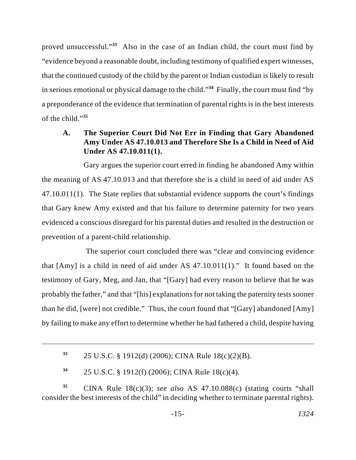proved unsuccessful."<sup>33</sup> Also in the case of an Indian child, the court must find by "evidence beyond a reasonable doubt, including testimony of qualified expert witnesses, that the continued custody of the child by the parent or Indian custodian is likely to result in serious emotional or physical damage to the child."<sup>34</sup> Finally, the court must find "by a preponderance of the evidence that termination of parental rights is in the best interests of the child."**<sup>35</sup>**

# **A. The Superior Court Did Not Err in Finding that Gary Abandoned Amy Under AS 47.10.013 and Therefore She Is a Child in Need of Aid Under AS 47.10.011(1).**

Gary argues the superior court erred in finding he abandoned Amy within the meaning of AS 47.10.013 and that therefore she is a child in need of aid under AS 47.10.011(1). The State replies that substantial evidence supports the court's findings that Gary knew Amy existed and that his failure to determine paternity for two years evidenced a conscious disregard for his parental duties and resulted in the destruction or prevention of a parent-child relationship.

 The superior court concluded there was "clear and convincing evidence that [Amy] is a child in need of aid under AS 47.10.011(1)." It found based on the testimony of Gary, Meg, and Jan, that "[Gary] had every reason to believe that he was probably the father," and that "[his] explanations for not taking the paternity tests sooner than he did, [were] not credible." Thus, the court found that "[Gary] abandoned [Amy] by failing to make any effort to determine whether he had fathered a child, despite having

<sup>25</sup> U.S.C. § 1912(d) (2006); CINA Rule 18(c)(2)(B). **<sup>33</sup>**

<sup>25</sup> U.S.C. § 1912(f) (2006); CINA Rule 18(c)(4). **<sup>34</sup>**

CINA Rule 18(c)(3); *see also* AS 47.10.088(c) (stating courts "shall **<sup>35</sup>** consider the best interests of the child" in deciding whether to terminate parental rights).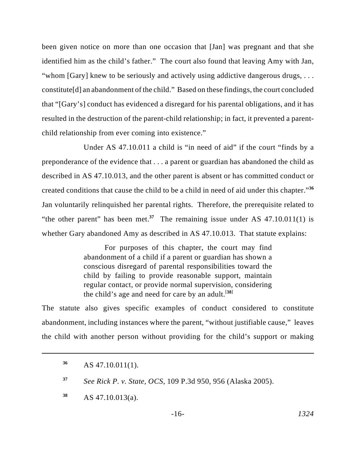been given notice on more than one occasion that [Jan] was pregnant and that she identified him as the child's father." The court also found that leaving Amy with Jan, "whom [Gary] knew to be seriously and actively using addictive dangerous drugs, ... constitute[d] an abandonment of the child." Based on these findings, the court concluded that "[Gary's] conduct has evidenced a disregard for his parental obligations, and it has resulted in the destruction of the parent-child relationship; in fact, it prevented a parentchild relationship from ever coming into existence."

Under AS 47.10.011 a child is "in need of aid" if the court "finds by a preponderance of the evidence that . . . a parent or guardian has abandoned the child as described in AS 47.10.013, and the other parent is absent or has committed conduct or created conditions that cause the child to be a child in need of aid under this chapter."**<sup>36</sup>** Jan voluntarily relinquished her parental rights. Therefore, the prerequisite related to "the other parent" has been met.<sup>37</sup> The remaining issue under AS 47.10.011(1) is whether Gary abandoned Amy as described in AS 47.10.013. That statute explains:

> For purposes of this chapter, the court may find abandonment of a child if a parent or guardian has shown a conscious disregard of parental responsibilities toward the child by failing to provide reasonable support, maintain regular contact, or provide normal supervision, considering the child's age and need for care by an adult.<sup>[38]</sup>

The statute also gives specific examples of conduct considered to constitute abandonment, including instances where the parent, "without justifiable cause," leaves the child with another person without providing for the child's support or making

AS 47.10.011(1). **36**

*See Rick P. v. State, OCS*, 109 P.3d 950, 956 (Alaska 2005). **<sup>37</sup>**

AS 47.10.013(a). **38**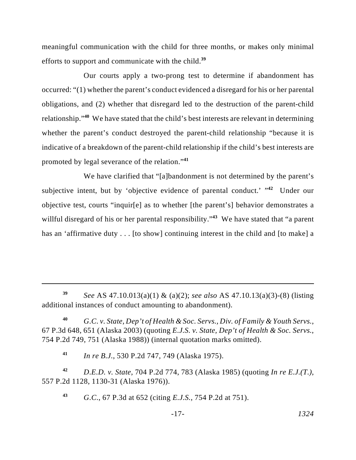meaningful communication with the child for three months, or makes only minimal efforts to support and communicate with the child.**<sup>39</sup>**

Our courts apply a two-prong test to determine if abandonment has occurred: "(1) whether the parent's conduct evidenced a disregard for his or her parental obligations, and (2) whether that disregard led to the destruction of the parent-child relationship."<sup>40</sup> We have stated that the child's best interests are relevant in determining whether the parent's conduct destroyed the parent-child relationship "because it is indicative of a breakdown of the parent-child relationship if the child's best interests are promoted by legal severance of the relation."<sup>41</sup>

We have clarified that "[a]bandonment is not determined by the parent's subjective intent, but by 'objective evidence of parental conduct.'  $142$  Under our objective test, courts "inquir[e] as to whether [the parent's] behavior demonstrates a willful disregard of his or her parental responsibility."<sup>43</sup> We have stated that "a parent has an 'affirmative duty . . . [to show] continuing interest in the child and [to make] a

*G.C. v. State, Dep't of Health & Soc. Servs., Div. of Family & Youth Servs.*, **40** 67 P.3d 648, 651 (Alaska 2003) (quoting *E.J.S. v. State, Dep't of Health & Soc. Servs.*, 754 P.2d 749, 751 (Alaska 1988)) (internal quotation marks omitted).

*In re B.J.*, 530 P.2d 747, 749 (Alaska 1975). **<sup>41</sup>**

*D.E.D. v. State*, 704 P.2d 774, 783 (Alaska 1985) (quoting *In re E.J.(T.)*, **42** 557 P.2d 1128, 1130-31 (Alaska 1976)).

*G.C.*, 67 P.3d at 652 (citing *E.J.S.*, 754 P.2d at 751). **<sup>43</sup>**

-17- *1324*

*See* AS 47.10.013(a)(1) & (a)(2); *see also* AS 47.10.13(a)(3)-(8) (listing **<sup>39</sup>** additional instances of conduct amounting to abandonment).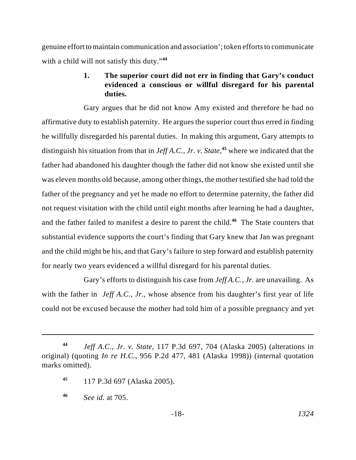genuine effort to maintain communication and association'; token efforts to communicate with a child will not satisfy this duty."**<sup>44</sup>**

## **1. The superior court did not err in finding that Gary's conduct evidenced a conscious or willful disregard for his parental duties.**

Gary argues that he did not know Amy existed and therefore he had no affirmative duty to establish paternity. He argues the superior court thus erred in finding he willfully disregarded his parental duties. In making this argument, Gary attempts to distinguish his situation from that in *Jeff A.C., Jr. v. State*<sup>45</sup>, where we indicated that the father had abandoned his daughter though the father did not know she existed until she was eleven months old because, among other things, the mother testified she had told the father of the pregnancy and yet he made no effort to determine paternity, the father did not request visitation with the child until eight months after learning he had a daughter, and the father failed to manifest a desire to parent the child.<sup>46</sup> The State counters that substantial evidence supports the court's finding that Gary knew that Jan was pregnant and the child might be his, and that Gary's failure to step forward and establish paternity for nearly two years evidenced a willful disregard for his parental duties.

Gary's efforts to distinguish his case from *Jeff A.C., Jr.* are unavailing. As with the father in *Jeff A.C., Jr.*, whose absence from his daughter's first year of life could not be excused because the mother had told him of a possible pregnancy and yet

*Jeff A.C., Jr. v. State*, 117 P.3d 697, 704 (Alaska 2005) (alterations in **<sup>44</sup>** original) (quoting *In re H.C.*, 956 P.2d 477, 481 (Alaska 1998)) (internal quotation marks omitted).

<sup>117</sup> P.3d 697 (Alaska 2005). **<sup>45</sup>**

*See id.* at 705. **<sup>46</sup>**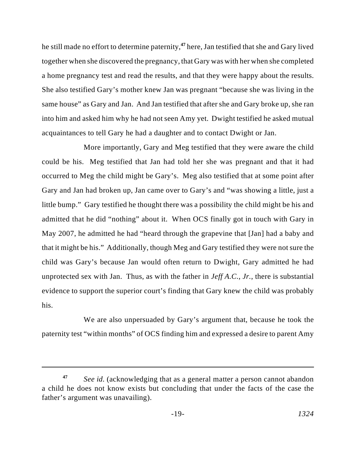he still made no effort to determine paternity,<sup>47</sup> here, Jan testified that she and Gary lived together when she discovered the pregnancy, that Gary was with her when she completed a home pregnancy test and read the results, and that they were happy about the results. She also testified Gary's mother knew Jan was pregnant "because she was living in the same house" as Gary and Jan. And Jan testified that after she and Gary broke up, she ran into him and asked him why he had not seen Amy yet. Dwight testified he asked mutual acquaintances to tell Gary he had a daughter and to contact Dwight or Jan.

More importantly, Gary and Meg testified that they were aware the child could be his. Meg testified that Jan had told her she was pregnant and that it had occurred to Meg the child might be Gary's. Meg also testified that at some point after Gary and Jan had broken up, Jan came over to Gary's and "was showing a little, just a little bump." Gary testified he thought there was a possibility the child might be his and admitted that he did "nothing" about it. When OCS finally got in touch with Gary in May 2007, he admitted he had "heard through the grapevine that [Jan] had a baby and that it might be his." Additionally, though Meg and Gary testified they were not sure the child was Gary's because Jan would often return to Dwight, Gary admitted he had unprotected sex with Jan. Thus, as with the father in *Jeff A.C., Jr.*, there is substantial evidence to support the superior court's finding that Gary knew the child was probably his.

We are also unpersuaded by Gary's argument that, because he took the paternity test "within months" of OCS finding him and expressed a desire to parent Amy

*See id.* (acknowledging that as a general matter a person cannot abandon **<sup>47</sup>** a child he does not know exists but concluding that under the facts of the case the father's argument was unavailing).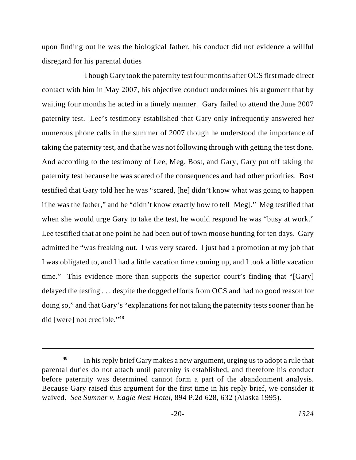upon finding out he was the biological father, his conduct did not evidence a willful disregard for his parental duties

Though Gary took the paternity test four months after OCS first made direct contact with him in May 2007, his objective conduct undermines his argument that by waiting four months he acted in a timely manner. Gary failed to attend the June 2007 paternity test. Lee's testimony established that Gary only infrequently answered her numerous phone calls in the summer of 2007 though he understood the importance of taking the paternity test, and that he was not following through with getting the test done. And according to the testimony of Lee, Meg, Bost, and Gary, Gary put off taking the paternity test because he was scared of the consequences and had other priorities. Bost testified that Gary told her he was "scared, [he] didn't know what was going to happen if he was the father," and he "didn't know exactly how to tell [Meg]." Meg testified that when she would urge Gary to take the test, he would respond he was "busy at work." Lee testified that at one point he had been out of town moose hunting for ten days. Gary admitted he "was freaking out. I was very scared. I just had a promotion at my job that I was obligated to, and I had a little vacation time coming up, and I took a little vacation time." This evidence more than supports the superior court's finding that "[Gary] delayed the testing . . . despite the dogged efforts from OCS and had no good reason for doing so," and that Gary's "explanations for not taking the paternity tests sooner than he did [were] not credible."**<sup>48</sup>**

In his reply brief Gary makes a new argument, urging us to adopt a rule that **<sup>48</sup>** parental duties do not attach until paternity is established, and therefore his conduct before paternity was determined cannot form a part of the abandonment analysis. Because Gary raised this argument for the first time in his reply brief, we consider it waived. *See Sumner v. Eagle Nest Hotel*, 894 P.2d 628, 632 (Alaska 1995).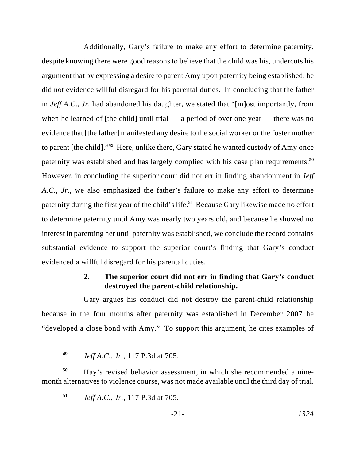Additionally, Gary's failure to make any effort to determine paternity, despite knowing there were good reasons to believe that the child was his, undercuts his argument that by expressing a desire to parent Amy upon paternity being established, he did not evidence willful disregard for his parental duties. In concluding that the father in *Jeff A.C., Jr.* had abandoned his daughter, we stated that "[m]ost importantly, from when he learned of [the child] until trial  $-$  a period of over one year  $-$  there was no evidence that [the father] manifested any desire to the social worker or the foster mother to parent [the child]."<sup>49</sup> Here, unlike there, Gary stated he wanted custody of Amy once paternity was established and has largely complied with his case plan requirements.**<sup>50</sup>** However, in concluding the superior court did not err in finding abandonment in *Jeff A.C., Jr.*, we also emphasized the father's failure to make any effort to determine paternity during the first year of the child's life.<sup>51</sup> Because Gary likewise made no effort to determine paternity until Amy was nearly two years old, and because he showed no interest in parenting her until paternity was established, we conclude the record contains substantial evidence to support the superior court's finding that Gary's conduct evidenced a willful disregard for his parental duties.

### **2. The superior court did not err in finding that Gary's conduct destroyed the parent-child relationship.**

Gary argues his conduct did not destroy the parent-child relationship because in the four months after paternity was established in December 2007 he "developed a close bond with Amy." To support this argument, he cites examples of

Hay's revised behavior assessment, in which she recommended a nine- **<sup>50</sup>** month alternatives to violence course, was not made available until the third day of trial.

*Jeff A.C., Jr.*, 117 P.3d at 705. **<sup>51</sup>**

*Jeff A.C., Jr.*, 117 P.3d at 705. **<sup>49</sup>**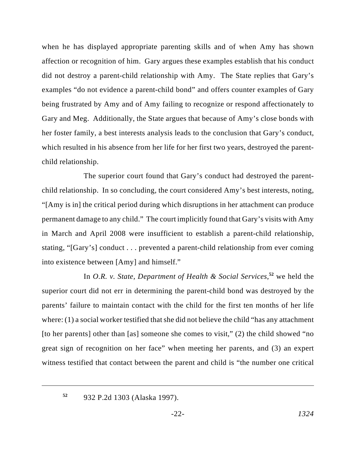when he has displayed appropriate parenting skills and of when Amy has shown affection or recognition of him. Gary argues these examples establish that his conduct did not destroy a parent-child relationship with Amy. The State replies that Gary's examples "do not evidence a parent-child bond" and offers counter examples of Gary being frustrated by Amy and of Amy failing to recognize or respond affectionately to Gary and Meg. Additionally, the State argues that because of Amy's close bonds with her foster family, a best interests analysis leads to the conclusion that Gary's conduct, which resulted in his absence from her life for her first two years, destroyed the parentchild relationship.

The superior court found that Gary's conduct had destroyed the parentchild relationship. In so concluding, the court considered Amy's best interests, noting, "[Amy is in] the critical period during which disruptions in her attachment can produce permanent damage to any child." The court implicitly found that Gary's visits with Amy in March and April 2008 were insufficient to establish a parent-child relationship, stating, "[Gary's] conduct . . . prevented a parent-child relationship from ever coming into existence between [Amy] and himself."

In *O.R. v. State, Department of Health & Social Services*,<sup>52</sup> we held the superior court did not err in determining the parent-child bond was destroyed by the parents' failure to maintain contact with the child for the first ten months of her life where:  $(1)$  a social worker testified that she did not believe the child "has any attachment" [to her parents] other than [as] someone she comes to visit," (2) the child showed "no great sign of recognition on her face" when meeting her parents, and (3) an expert witness testified that contact between the parent and child is "the number one critical

<sup>932</sup> P.2d 1303 (Alaska 1997). **<sup>52</sup>**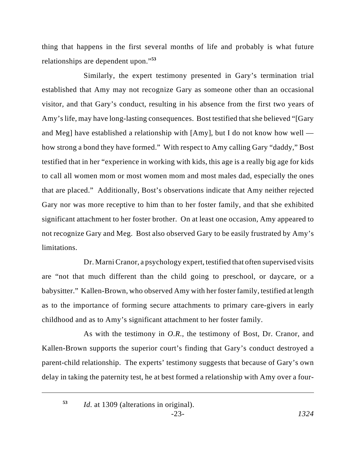thing that happens in the first several months of life and probably is what future relationships are dependent upon."**<sup>53</sup>**

Similarly, the expert testimony presented in Gary's termination trial established that Amy may not recognize Gary as someone other than an occasional visitor, and that Gary's conduct, resulting in his absence from the first two years of Amy's life, may have long-lasting consequences. Bost testified that she believed "[Gary and Meg] have established a relationship with [Amy], but I do not know how well how strong a bond they have formed." With respect to Amy calling Gary "daddy," Bost testified that in her "experience in working with kids, this age is a really big age for kids to call all women mom or most women mom and most males dad, especially the ones that are placed." Additionally, Bost's observations indicate that Amy neither rejected Gary nor was more receptive to him than to her foster family, and that she exhibited significant attachment to her foster brother. On at least one occasion, Amy appeared to not recognize Gary and Meg. Bost also observed Gary to be easily frustrated by Amy's limitations.

Dr. Marni Cranor, a psychology expert, testified that often supervised visits are "not that much different than the child going to preschool, or daycare, or a babysitter." Kallen-Brown, who observed Amy with her foster family, testified at length as to the importance of forming secure attachments to primary care-givers in early childhood and as to Amy's significant attachment to her foster family.

As with the testimony in *O.R.*, the testimony of Bost, Dr. Cranor, and Kallen-Brown supports the superior court's finding that Gary's conduct destroyed a parent-child relationship. The experts' testimony suggests that because of Gary's own delay in taking the paternity test, he at best formed a relationship with Amy over a four-

*Id.* at 1309 (alterations in original). **<sup>53</sup>**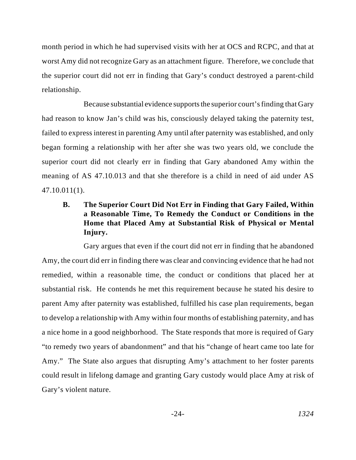month period in which he had supervised visits with her at OCS and RCPC, and that at worst Amy did not recognize Gary as an attachment figure. Therefore, we conclude that the superior court did not err in finding that Gary's conduct destroyed a parent-child relationship.

Because substantial evidence supports the superior court's finding that Gary had reason to know Jan's child was his, consciously delayed taking the paternity test, failed to express interest in parenting Amy until after paternity was established, and only began forming a relationship with her after she was two years old, we conclude the superior court did not clearly err in finding that Gary abandoned Amy within the meaning of AS 47.10.013 and that she therefore is a child in need of aid under AS 47.10.011(1).

# **B. The Superior Court Did Not Err in Finding that Gary Failed, Within a Reasonable Time, To Remedy the Conduct or Conditions in the Home that Placed Amy at Substantial Risk of Physical or Mental Injury.**

Gary argues that even if the court did not err in finding that he abandoned Amy, the court did err in finding there was clear and convincing evidence that he had not remedied, within a reasonable time, the conduct or conditions that placed her at substantial risk. He contends he met this requirement because he stated his desire to parent Amy after paternity was established, fulfilled his case plan requirements, began to develop a relationship with Amy within four months of establishing paternity, and has a nice home in a good neighborhood. The State responds that more is required of Gary "to remedy two years of abandonment" and that his "change of heart came too late for Amy." The State also argues that disrupting Amy's attachment to her foster parents could result in lifelong damage and granting Gary custody would place Amy at risk of Gary's violent nature.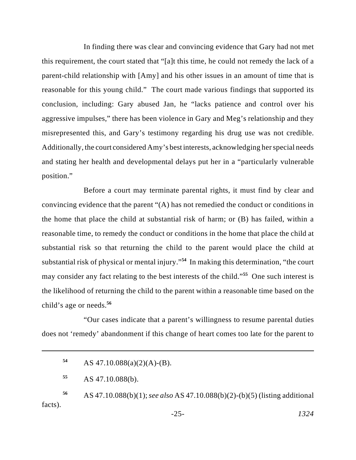In finding there was clear and convincing evidence that Gary had not met this requirement, the court stated that "[a]t this time, he could not remedy the lack of a parent-child relationship with [Amy] and his other issues in an amount of time that is reasonable for this young child." The court made various findings that supported its conclusion, including: Gary abused Jan, he "lacks patience and control over his aggressive impulses," there has been violence in Gary and Meg's relationship and they misrepresented this, and Gary's testimony regarding his drug use was not credible. Additionally, the court considered Amy's best interests, acknowledging her special needs and stating her health and developmental delays put her in a "particularly vulnerable position."

Before a court may terminate parental rights, it must find by clear and convincing evidence that the parent "(A) has not remedied the conduct or conditions in the home that place the child at substantial risk of harm; or (B) has failed, within a reasonable time, to remedy the conduct or conditions in the home that place the child at substantial risk so that returning the child to the parent would place the child at substantial risk of physical or mental injury."<sup>54</sup> In making this determination, "the court may consider any fact relating to the best interests of the child."<sup>55</sup> One such interest is the likelihood of returning the child to the parent within a reasonable time based on the child's age or needs.**<sup>56</sup>**

"Our cases indicate that a parent's willingness to resume parental duties does not 'remedy' abandonment if this change of heart comes too late for the parent to

AS 47.10.088(a)(2)(A)-(B). **54**

AS 47.10.088(b). **<sup>55</sup>**

AS 47.10.088(b)(1); *see also* AS 47.10.088(b)(2)-(b)(5) (listing additional **<sup>56</sup>** facts).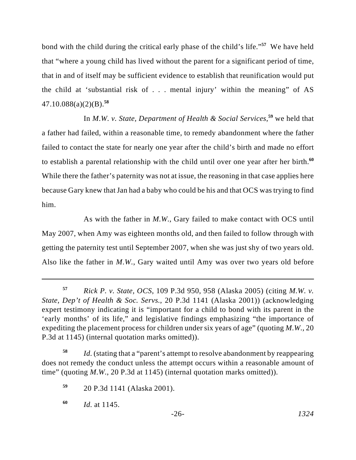bond with the child during the critical early phase of the child's life."<sup>57</sup> We have held that "where a young child has lived without the parent for a significant period of time, that in and of itself may be sufficient evidence to establish that reunification would put the child at 'substantial risk of . . . mental injury' within the meaning" of AS 47.10.088(a)(2)(B).**<sup>58</sup>**

In *M.W. v. State, Department of Health & Social Services*,<sup>59</sup> we held that a father had failed, within a reasonable time, to remedy abandonment where the father failed to contact the state for nearly one year after the child's birth and made no effort to establish a parental relationship with the child until over one year after her birth.**<sup>60</sup>** While there the father's paternity was not at issue, the reasoning in that case applies here because Gary knew that Jan had a baby who could be his and that OCS was trying to find him.

As with the father in *M.W.*, Gary failed to make contact with OCS until May 2007, when Amy was eighteen months old, and then failed to follow through with getting the paternity test until September 2007, when she was just shy of two years old. Also like the father in *M.W.*, Gary waited until Amy was over two years old before

*Id.* (stating that a "parent's attempt to resolve abandonment by reappearing **<sup>58</sup>** does not remedy the conduct unless the attempt occurs within a reasonable amount of time" (quoting *M.W.*, 20 P.3d at 1145) (internal quotation marks omitted)).

*Rick P. v. State, OCS*, 109 P.3d 950, 958 (Alaska 2005) (citing *M.W. v.* **<sup>57</sup>** *State, Dep't of Health & Soc. Servs.*, 20 P.3d 1141 (Alaska 2001)) (acknowledging expert testimony indicating it is "important for a child to bond with its parent in the 'early months' of its life," and legislative findings emphasizing "the importance of expediting the placement process for children under six years of age" (quoting *M.W.*, 20 P.3d at 1145) (internal quotation marks omitted)).

<sup>20</sup> P.3d 1141 (Alaska 2001). **<sup>59</sup>**

*Id.* at 1145. **<sup>60</sup>**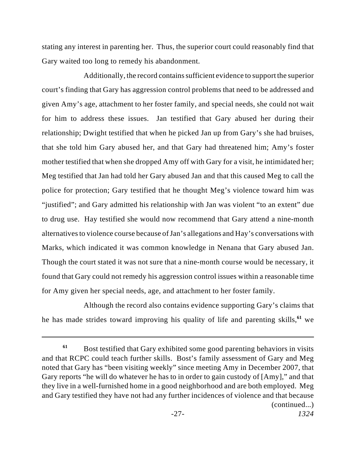stating any interest in parenting her. Thus, the superior court could reasonably find that Gary waited too long to remedy his abandonment.

Additionally, the record contains sufficient evidence to support the superior court's finding that Gary has aggression control problems that need to be addressed and given Amy's age, attachment to her foster family, and special needs, she could not wait for him to address these issues. Jan testified that Gary abused her during their relationship; Dwight testified that when he picked Jan up from Gary's she had bruises, that she told him Gary abused her, and that Gary had threatened him; Amy's foster mother testified that when she dropped Amy off with Gary for a visit, he intimidated her; Meg testified that Jan had told her Gary abused Jan and that this caused Meg to call the police for protection; Gary testified that he thought Meg's violence toward him was "justified"; and Gary admitted his relationship with Jan was violent "to an extent" due to drug use. Hay testified she would now recommend that Gary attend a nine-month alternatives to violence course because of Jan's allegations and Hay's conversations with Marks, which indicated it was common knowledge in Nenana that Gary abused Jan. Though the court stated it was not sure that a nine-month course would be necessary, it found that Gary could not remedy his aggression control issues within a reasonable time for Amy given her special needs, age, and attachment to her foster family.

Although the record also contains evidence supporting Gary's claims that he has made strides toward improving his quality of life and parenting skills,<sup>61</sup> we

Bost testified that Gary exhibited some good parenting behaviors in visits **<sup>61</sup>** and that RCPC could teach further skills. Bost's family assessment of Gary and Meg noted that Gary has "been visiting weekly" since meeting Amy in December 2007, that Gary reports "he will do whatever he has to in order to gain custody of [Amy]," and that they live in a well-furnished home in a good neighborhood and are both employed. Meg and Gary testified they have not had any further incidences of violence and that because (continued...)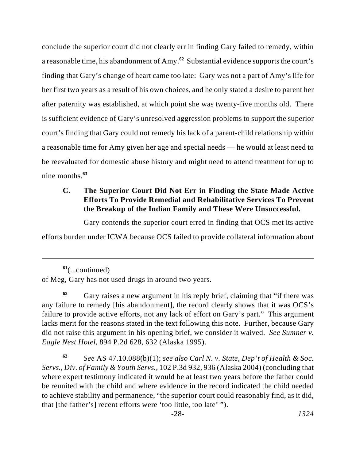conclude the superior court did not clearly err in finding Gary failed to remedy, within a reasonable time, his abandonment of Amy.<sup>62</sup> Substantial evidence supports the court's finding that Gary's change of heart came too late: Gary was not a part of Amy's life for her first two years as a result of his own choices, and he only stated a desire to parent her after paternity was established, at which point she was twenty-five months old. There is sufficient evidence of Gary's unresolved aggression problems to support the superior court's finding that Gary could not remedy his lack of a parent-child relationship within a reasonable time for Amy given her age and special needs — he would at least need to be reevaluated for domestic abuse history and might need to attend treatment for up to nine months.**<sup>63</sup>**

# **C. The Superior Court Did Not Err in Finding the State Made Active Efforts To Provide Remedial and Rehabilitative Services To Prevent the Breakup of the Indian Family and These Were Unsuccessful.**

Gary contends the superior court erred in finding that OCS met its active

efforts burden under ICWA because OCS failed to provide collateral information about

<sup>(...</sup>continued) **<sup>61</sup>** of Meg, Gary has not used drugs in around two years.

Gary raises a new argument in his reply brief, claiming that "if there was **<sup>62</sup>** any failure to remedy [his abandonment], the record clearly shows that it was OCS's failure to provide active efforts, not any lack of effort on Gary's part." This argument lacks merit for the reasons stated in the text following this note. Further, because Gary did not raise this argument in his opening brief, we consider it waived. *See Sumner v. Eagle Nest Hotel*, 894 P.2d 628, 632 (Alaska 1995).

*See* AS 47.10.088(b)(1); *see also Carl N. v. State, Dep't of Health & Soc.* **<sup>63</sup>** *Servs., Div. of Family & Youth Servs.*, 102 P.3d 932, 936 (Alaska 2004) (concluding that where expert testimony indicated it would be at least two years before the father could be reunited with the child and where evidence in the record indicated the child needed to achieve stability and permanence, "the superior court could reasonably find, as it did, that [the father's] recent efforts were 'too little, too late' ").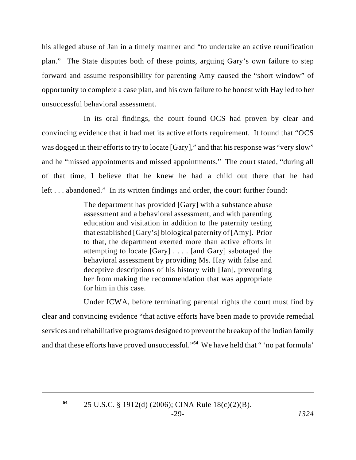his alleged abuse of Jan in a timely manner and "to undertake an active reunification plan." The State disputes both of these points, arguing Gary's own failure to step forward and assume responsibility for parenting Amy caused the "short window" of opportunity to complete a case plan, and his own failure to be honest with Hay led to her unsuccessful behavioral assessment.

In its oral findings, the court found OCS had proven by clear and convincing evidence that it had met its active efforts requirement. It found that "OCS was dogged in their efforts to try to locate [Gary]," and that his response was "very slow" and he "missed appointments and missed appointments." The court stated, "during all of that time, I believe that he knew he had a child out there that he had left . . . abandoned." In its written findings and order, the court further found:

> The department has provided [Gary] with a substance abuse assessment and a behavioral assessment, and with parenting education and visitation in addition to the paternity testing that established [Gary's] biological paternity of [Amy]. Prior to that, the department exerted more than active efforts in attempting to locate [Gary] . . . . [and Gary] sabotaged the behavioral assessment by providing Ms. Hay with false and deceptive descriptions of his history with [Jan], preventing her from making the recommendation that was appropriate for him in this case.

Under ICWA, before terminating parental rights the court must find by clear and convincing evidence "that active efforts have been made to provide remedial services and rehabilitative programs designed to prevent the breakup of the Indian family and that these efforts have proved unsuccessful."<sup>64</sup> We have held that " 'no pat formula'

**<sup>64</sup>**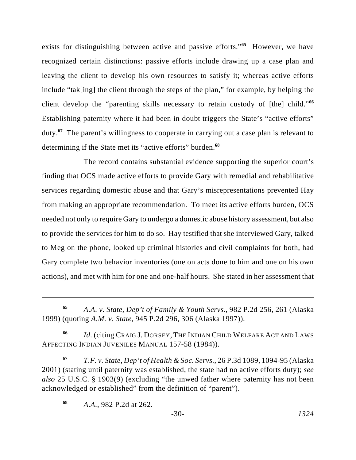exists for distinguishing between active and passive efforts."<sup>65</sup> However, we have recognized certain distinctions: passive efforts include drawing up a case plan and leaving the client to develop his own resources to satisfy it; whereas active efforts include "tak[ing] the client through the steps of the plan," for example, by helping the client develop the "parenting skills necessary to retain custody of [the] child."**<sup>66</sup>** Establishing paternity where it had been in doubt triggers the State's "active efforts" duty. The parent's willingness to cooperate in carrying out a case plan is relevant to **<sup>67</sup>** determining if the State met its "active efforts" burden.**<sup>68</sup>**

The record contains substantial evidence supporting the superior court's finding that OCS made active efforts to provide Gary with remedial and rehabilitative services regarding domestic abuse and that Gary's misrepresentations prevented Hay from making an appropriate recommendation. To meet its active efforts burden, OCS needed not only to require Gary to undergo a domestic abuse history assessment, but also to provide the services for him to do so. Hay testified that she interviewed Gary, talked to Meg on the phone, looked up criminal histories and civil complaints for both, had Gary complete two behavior inventories (one on acts done to him and one on his own actions), and met with him for one and one-half hours. She stated in her assessment that

*Id.* (citing CRAIG J. DORSEY, THE INDIAN CHILD WELFARE ACT AND LAWS **<sup>66</sup>** AFFECTING INDIAN JUVENILES MANUAL 157-58 (1984)).

*T.F. v. State, Dep't of Health & Soc. Servs.*, 26 P.3d 1089, 1094-95 (Alaska **<sup>67</sup>** 2001) (stating until paternity was established, the state had no active efforts duty); *see also* 25 U.S.C. § 1903(9) (excluding "the unwed father where paternity has not been acknowledged or established" from the definition of "parent").

*A.A. v. State, Dep't of Family & Youth Servs.*, 982 P.2d 256, 261 (Alaska **<sup>65</sup>** 1999) (quoting *A.M. v. State*, 945 P.2d 296, 306 (Alaska 1997)).

*A.A.*, 982 P.2d at 262. **<sup>68</sup>**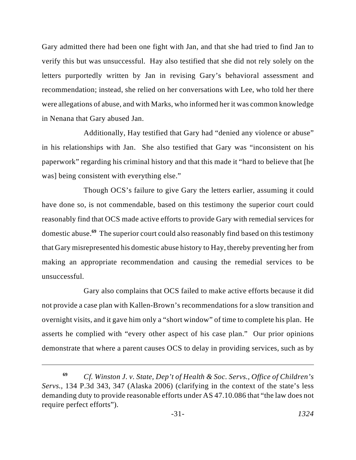Gary admitted there had been one fight with Jan, and that she had tried to find Jan to verify this but was unsuccessful. Hay also testified that she did not rely solely on the letters purportedly written by Jan in revising Gary's behavioral assessment and recommendation; instead, she relied on her conversations with Lee, who told her there were allegations of abuse, and with Marks, who informed her it was common knowledge in Nenana that Gary abused Jan.

Additionally, Hay testified that Gary had "denied any violence or abuse" in his relationships with Jan. She also testified that Gary was "inconsistent on his paperwork" regarding his criminal history and that this made it "hard to believe that [he was] being consistent with everything else."

Though OCS's failure to give Gary the letters earlier, assuming it could have done so, is not commendable, based on this testimony the superior court could reasonably find that OCS made active efforts to provide Gary with remedial services for domestic abuse.<sup>69</sup> The superior court could also reasonably find based on this testimony that Gary misrepresented his domestic abuse history to Hay, thereby preventing her from making an appropriate recommendation and causing the remedial services to be unsuccessful.

Gary also complains that OCS failed to make active efforts because it did not provide a case plan with Kallen-Brown's recommendations for a slow transition and overnight visits, and it gave him only a "short window" of time to complete his plan. He asserts he complied with "every other aspect of his case plan." Our prior opinions demonstrate that where a parent causes OCS to delay in providing services, such as by

*Cf. Winston J. v. State, Dep't of Health & Soc. Servs., Office of Children's* **<sup>69</sup>** *Servs.*, 134 P.3d 343, 347 (Alaska 2006) (clarifying in the context of the state's less demanding duty to provide reasonable efforts under AS 47.10.086 that "the law does not require perfect efforts").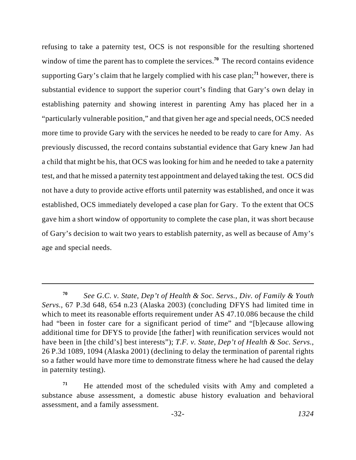refusing to take a paternity test, OCS is not responsible for the resulting shortened window of time the parent has to complete the services.<sup>70</sup> The record contains evidence supporting Gary's claim that he largely complied with his case plan;<sup>71</sup> however, there is substantial evidence to support the superior court's finding that Gary's own delay in establishing paternity and showing interest in parenting Amy has placed her in a "particularly vulnerable position," and that given her age and special needs, OCS needed more time to provide Gary with the services he needed to be ready to care for Amy. As previously discussed, the record contains substantial evidence that Gary knew Jan had a child that might be his, that OCS was looking for him and he needed to take a paternity test, and that he missed a paternity test appointment and delayed taking the test. OCS did not have a duty to provide active efforts until paternity was established, and once it was established, OCS immediately developed a case plan for Gary. To the extent that OCS gave him a short window of opportunity to complete the case plan, it was short because of Gary's decision to wait two years to establish paternity, as well as because of Amy's age and special needs.

*See G.C. v. State, Dep't of Health & Soc. Servs., Div. of Family & Youth* **<sup>70</sup>** *Servs.*, 67 P.3d 648, 654 n.23 (Alaska 2003) (concluding DFYS had limited time in which to meet its reasonable efforts requirement under AS 47.10.086 because the child had "been in foster care for a significant period of time" and "[b]ecause allowing additional time for DFYS to provide [the father] with reunification services would not have been in [the child's] best interests"); *T.F. v. State, Dep't of Health & Soc. Servs.*, 26 P.3d 1089, 1094 (Alaska 2001) (declining to delay the termination of parental rights so a father would have more time to demonstrate fitness where he had caused the delay in paternity testing).

He attended most of the scheduled visits with Amy and completed a **<sup>71</sup>** substance abuse assessment, a domestic abuse history evaluation and behavioral assessment, and a family assessment.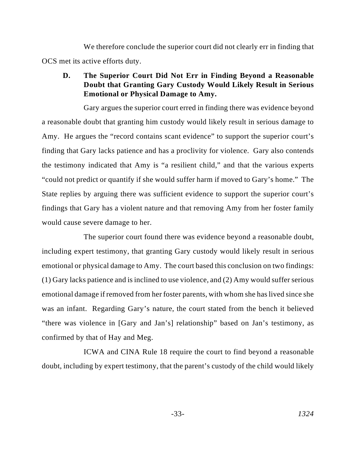We therefore conclude the superior court did not clearly err in finding that OCS met its active efforts duty.

## **D. The Superior Court Did Not Err in Finding Beyond a Reasonable Doubt that Granting Gary Custody Would Likely Result in Serious Emotional or Physical Damage to Amy.**

Gary argues the superior court erred in finding there was evidence beyond a reasonable doubt that granting him custody would likely result in serious damage to Amy. He argues the "record contains scant evidence" to support the superior court's finding that Gary lacks patience and has a proclivity for violence. Gary also contends the testimony indicated that Amy is "a resilient child," and that the various experts "could not predict or quantify if she would suffer harm if moved to Gary's home." The State replies by arguing there was sufficient evidence to support the superior court's findings that Gary has a violent nature and that removing Amy from her foster family would cause severe damage to her.

The superior court found there was evidence beyond a reasonable doubt, including expert testimony, that granting Gary custody would likely result in serious emotional or physical damage to Amy. The court based this conclusion on two findings: (1) Gary lacks patience and is inclined to use violence, and (2) Amy would suffer serious emotional damage if removed from her foster parents, with whom she has lived since she was an infant. Regarding Gary's nature, the court stated from the bench it believed "there was violence in [Gary and Jan's] relationship" based on Jan's testimony, as confirmed by that of Hay and Meg.

ICWA and CINA Rule 18 require the court to find beyond a reasonable doubt, including by expert testimony, that the parent's custody of the child would likely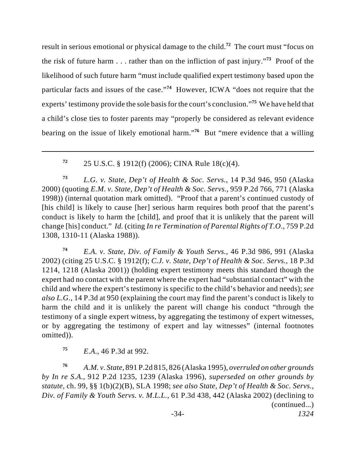result in serious emotional or physical damage to the child.<sup>72</sup> The court must "focus on the risk of future harm  $\ldots$  rather than on the infliction of past injury.<sup>73</sup> Proof of the likelihood of such future harm "must include qualified expert testimony based upon the particular facts and issues of the case."<sup>74</sup> However, ICWA "does not require that the experts' testimony provide the sole basis for the court's conclusion."<sup>75</sup> We have held that a child's close ties to foster parents may "properly be considered as relevant evidence bearing on the issue of likely emotional harm."<sup>76</sup> But "mere evidence that a willing

25 U.S.C. § 1912(f) (2006); CINA Rule 18(c)(4). **<sup>72</sup>**

*L.G. v. State, Dep't of Health & Soc. Servs.*, 14 P.3d 946, 950 (Alaska **<sup>73</sup>** 2000) (quoting *E.M. v. State, Dep't of Health & Soc. Servs.*, 959 P.2d 766, 771 (Alaska 1998)) (internal quotation mark omitted). "Proof that a parent's continued custody of [his child] is likely to cause [her] serious harm requires both proof that the parent's conduct is likely to harm the [child], and proof that it is unlikely that the parent will change [his] conduct." *Id.* (citing *In re Termination of Parental Rights of T.O.*, 759 P.2d 1308, 1310-11 (Alaska 1988)).

*E.A. v. State, Div. of Family & Youth Servs.*, 46 P.3d 986, 991 (Alaska **<sup>74</sup>** 2002) (citing 25 U.S.C. § 1912(f); *C.J. v. State, Dep't of Health & Soc. Servs.*, 18 P.3d 1214, 1218 (Alaska 2001)) (holding expert testimony meets this standard though the expert had no contact with the parent where the expert had "substantial contact" with the child and where the expert's testimony is specific to the child's behavior and needs); *see also L.G.*, 14 P.3d at 950 (explaining the court may find the parent's conduct is likely to harm the child and it is unlikely the parent will change his conduct "through the testimony of a single expert witness, by aggregating the testimony of expert witnesses, or by aggregating the testimony of expert and lay witnesses" (internal footnotes omitted)).

*E.A.*, 46 P.3d at 992. **<sup>75</sup>**

*A.M. v. State*, 891 P.2d 815, 826 (Alaska 1995), *overruled on other grounds* **<sup>76</sup>** *by In re S.A.*, 912 P.2d 1235, 1239 (Alaska 1996), *superseded on other grounds by statute*, ch. 99, §§ 1(b)(2)(B), SLA 1998; *see also State, Dep't of Health & Soc. Servs., Div. of Family & Youth Servs. v. M.L.L.*, 61 P.3d 438, 442 (Alaska 2002) (declining to (continued...)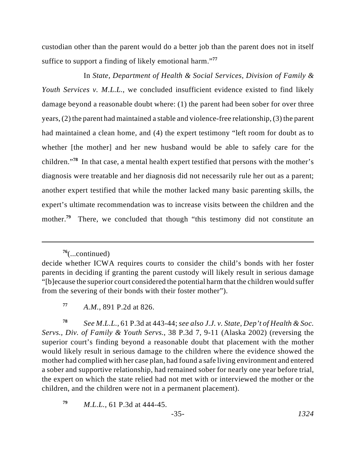custodian other than the parent would do a better job than the parent does not in itself suffice to support a finding of likely emotional harm."**<sup>77</sup>**

In *State, Department of Health & Social Services, Division of Family & Youth Services v. M.L.L.*, we concluded insufficient evidence existed to find likely damage beyond a reasonable doubt where: (1) the parent had been sober for over three years, (2) the parent had maintained a stable and violence-free relationship, (3) the parent had maintained a clean home, and (4) the expert testimony "left room for doubt as to whether [the mother] and her new husband would be able to safely care for the children."<sup>78</sup> In that case, a mental health expert testified that persons with the mother's diagnosis were treatable and her diagnosis did not necessarily rule her out as a parent; another expert testified that while the mother lacked many basic parenting skills, the expert's ultimate recommendation was to increase visits between the children and the mother.<sup>79</sup> There, we concluded that though "this testimony did not constitute an

*See M.L.L.*, 61 P.3d at 443-44; *see also J.J. v. State, Dep't of Health & Soc.* **<sup>78</sup>** *Servs., Div. of Family & Youth Servs.*, 38 P.3d 7, 9-11 (Alaska 2002) (reversing the superior court's finding beyond a reasonable doubt that placement with the mother would likely result in serious damage to the children where the evidence showed the mother had complied with her case plan, had found a safe living environment and entered a sober and supportive relationship, had remained sober for nearly one year before trial, the expert on which the state relied had not met with or interviewed the mother or the children, and the children were not in a permanent placement).

*M.L.L.*, 61 P.3d at 444-45. **<sup>79</sup>**

<sup>(...</sup>continued) **<sup>76</sup>**

decide whether ICWA requires courts to consider the child's bonds with her foster parents in deciding if granting the parent custody will likely result in serious damage "[b]ecause the superior court considered the potential harm that the children would suffer from the severing of their bonds with their foster mother").

*A.M.*, 891 P.2d at 826. **<sup>77</sup>**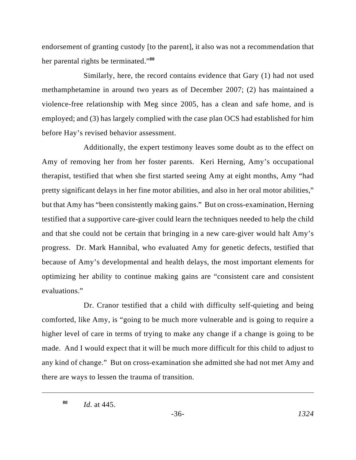endorsement of granting custody [to the parent], it also was not a recommendation that her parental rights be terminated."**<sup>80</sup>**

Similarly, here, the record contains evidence that Gary (1) had not used methamphetamine in around two years as of December 2007; (2) has maintained a violence-free relationship with Meg since 2005, has a clean and safe home, and is employed; and (3) has largely complied with the case plan OCS had established for him before Hay's revised behavior assessment.

Additionally, the expert testimony leaves some doubt as to the effect on Amy of removing her from her foster parents. Keri Herning, Amy's occupational therapist, testified that when she first started seeing Amy at eight months, Amy "had pretty significant delays in her fine motor abilities, and also in her oral motor abilities," but that Amy has "been consistently making gains." But on cross-examination, Herning testified that a supportive care-giver could learn the techniques needed to help the child and that she could not be certain that bringing in a new care-giver would halt Amy's progress. Dr. Mark Hannibal, who evaluated Amy for genetic defects, testified that because of Amy's developmental and health delays, the most important elements for optimizing her ability to continue making gains are "consistent care and consistent evaluations."

Dr. Cranor testified that a child with difficulty self-quieting and being comforted, like Amy, is "going to be much more vulnerable and is going to require a higher level of care in terms of trying to make any change if a change is going to be made. And I would expect that it will be much more difficult for this child to adjust to any kind of change." But on cross-examination she admitted she had not met Amy and there are ways to lessen the trauma of transition.

*Id.* at 445. **<sup>80</sup>**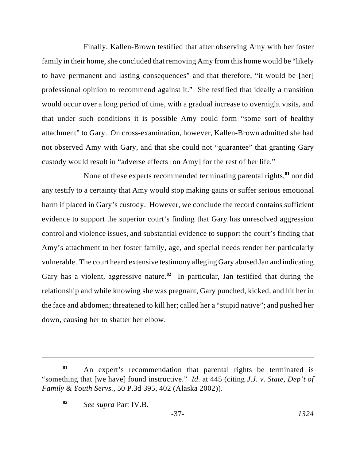Finally, Kallen-Brown testified that after observing Amy with her foster family in their home, she concluded that removing Amy from this home would be "likely to have permanent and lasting consequences" and that therefore, "it would be [her] professional opinion to recommend against it." She testified that ideally a transition would occur over a long period of time, with a gradual increase to overnight visits, and that under such conditions it is possible Amy could form "some sort of healthy attachment" to Gary. On cross-examination, however, Kallen-Brown admitted she had not observed Amy with Gary, and that she could not "guarantee" that granting Gary custody would result in "adverse effects [on Amy] for the rest of her life."

None of these experts recommended terminating parental rights,<sup>81</sup> nor did any testify to a certainty that Amy would stop making gains or suffer serious emotional harm if placed in Gary's custody. However, we conclude the record contains sufficient evidence to support the superior court's finding that Gary has unresolved aggression control and violence issues, and substantial evidence to support the court's finding that Amy's attachment to her foster family, age, and special needs render her particularly vulnerable. The court heard extensive testimony alleging Gary abused Jan and indicating Gary has a violent, aggressive nature.<sup>82</sup> In particular, Jan testified that during the relationship and while knowing she was pregnant, Gary punched, kicked, and hit her in the face and abdomen; threatened to kill her; called her a "stupid native"; and pushed her down, causing her to shatter her elbow.

An expert's recommendation that parental rights be terminated is **<sup>81</sup>** "something that [we have] found instructive." *Id.* at 445 (citing *J.J. v. State, Dep't of Family & Youth Servs.*, 50 P.3d 395, 402 (Alaska 2002)).

*See supra* Part IV.B. **<sup>82</sup>**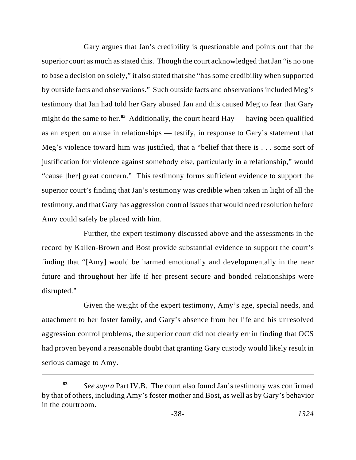Gary argues that Jan's credibility is questionable and points out that the superior court as much as stated this. Though the court acknowledged that Jan "is no one" to base a decision on solely," it also stated that she "has some credibility when supported by outside facts and observations." Such outside facts and observations included Meg's testimony that Jan had told her Gary abused Jan and this caused Meg to fear that Gary might do the same to her.<sup>83</sup> Additionally, the court heard  $\text{Hay}$ — having been qualified as an expert on abuse in relationships — testify, in response to Gary's statement that Meg's violence toward him was justified, that a "belief that there is . . . some sort of justification for violence against somebody else, particularly in a relationship," would "cause [her] great concern." This testimony forms sufficient evidence to support the superior court's finding that Jan's testimony was credible when taken in light of all the testimony, and that Gary has aggression control issues that would need resolution before Amy could safely be placed with him.

Further, the expert testimony discussed above and the assessments in the record by Kallen-Brown and Bost provide substantial evidence to support the court's finding that "[Amy] would be harmed emotionally and developmentally in the near future and throughout her life if her present secure and bonded relationships were disrupted."

Given the weight of the expert testimony, Amy's age, special needs, and attachment to her foster family, and Gary's absence from her life and his unresolved aggression control problems, the superior court did not clearly err in finding that OCS had proven beyond a reasonable doubt that granting Gary custody would likely result in serious damage to Amy.

*See supra* Part IV.B. The court also found Jan's testimony was confirmed **<sup>83</sup>** by that of others, including Amy's foster mother and Bost, as well as by Gary's behavior in the courtroom.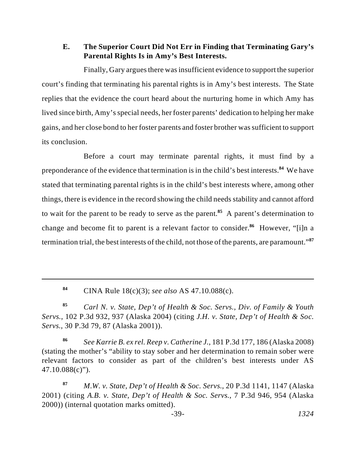## **E. The Superior Court Did Not Err in Finding that Terminating Gary's Parental Rights Is in Amy's Best Interests.**

Finally, Gary argues there wasinsufficient evidence to support the superior court's finding that terminating his parental rights is in Amy's best interests. The State replies that the evidence the court heard about the nurturing home in which Amy has lived since birth, Amy's special needs, her foster parents' dedication to helping her make gains, and her close bond to her foster parents and foster brother was sufficient to support its conclusion.

Before a court may terminate parental rights, it must find by a preponderance of the evidence that termination is in the child's best interests.<sup>84</sup> We have stated that terminating parental rights is in the child's best interests where, among other things, there is evidence in the record showing the child needs stability and cannot afford to wait for the parent to be ready to serve as the parent.<sup>85</sup> A parent's determination to change and become fit to parent is a relevant factor to consider.<sup>86</sup> However, "[i]n a termination trial, the best interests of the child, not those of the parents, are paramount."**<sup>87</sup>**

CINA Rule 18(c)(3); *see also* AS 47.10.088(c). **84**

*Carl N. v. State, Dep't of Health & Soc. Servs., Div. of Family & Youth* **<sup>85</sup>** *Servs.*, 102 P.3d 932, 937 (Alaska 2004) (citing *J.H. v. State, Dep't of Health & Soc. Servs.*, 30 P.3d 79, 87 (Alaska 2001)).

*See Karrie B. ex rel. Reep v. Catherine J.*, 181 P.3d 177, 186 (Alaska 2008) **<sup>86</sup>** (stating the mother's "ability to stay sober and her determination to remain sober were relevant factors to consider as part of the children's best interests under AS 47.10.088(c)").

*M.W. v. State, Dep't of Health & Soc. Servs.*, 20 P.3d 1141, 1147 (Alaska **<sup>87</sup>** 2001) (citing *A.B. v. State, Dep't of Health & Soc. Servs.*, 7 P.3d 946, 954 (Alaska 2000)) (internal quotation marks omitted).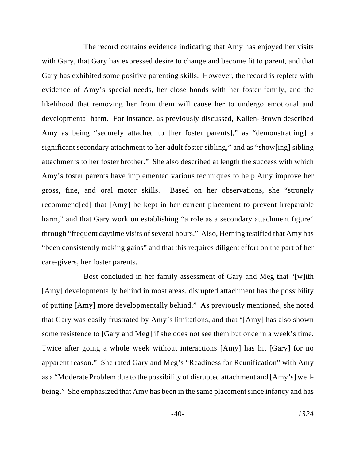The record contains evidence indicating that Amy has enjoyed her visits with Gary, that Gary has expressed desire to change and become fit to parent, and that Gary has exhibited some positive parenting skills. However, the record is replete with evidence of Amy's special needs, her close bonds with her foster family, and the likelihood that removing her from them will cause her to undergo emotional and developmental harm. For instance, as previously discussed, Kallen-Brown described Amy as being "securely attached to [her foster parents]," as "demonstrat[ing] a significant secondary attachment to her adult foster sibling," and as "show[ing] sibling attachments to her foster brother." She also described at length the success with which Amy's foster parents have implemented various techniques to help Amy improve her gross, fine, and oral motor skills. Based on her observations, she "strongly recommend[ed] that [Amy] be kept in her current placement to prevent irreparable harm," and that Gary work on establishing "a role as a secondary attachment figure" through "frequent daytime visits of several hours." Also, Herning testified that Amy has "been consistently making gains" and that this requires diligent effort on the part of her care-givers, her foster parents.

Bost concluded in her family assessment of Gary and Meg that "[w]ith [Amy] developmentally behind in most areas, disrupted attachment has the possibility of putting [Amy] more developmentally behind." As previously mentioned, she noted that Gary was easily frustrated by Amy's limitations, and that "[Amy] has also shown some resistence to [Gary and Meg] if she does not see them but once in a week's time. Twice after going a whole week without interactions [Amy] has hit [Gary] for no apparent reason." She rated Gary and Meg's "Readiness for Reunification" with Amy as a "Moderate Problem due to the possibility of disrupted attachment and [Amy's] wellbeing." She emphasized that Amy has been in the same placement since infancy and has